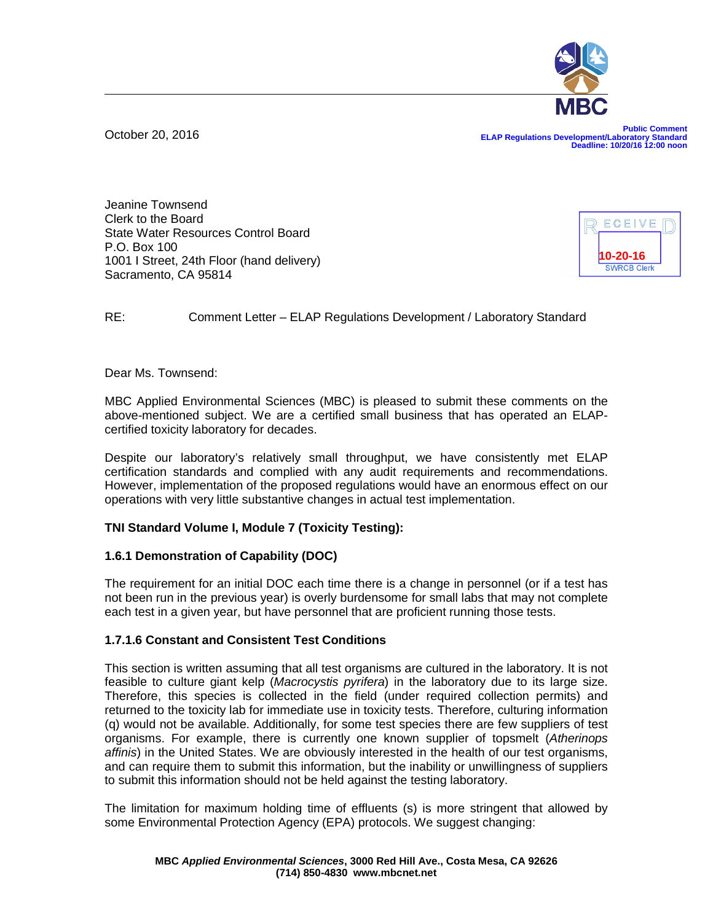October 20, 2016

**Public Comment ELAP Regulations Development/Laboratory Standard Deadline: 10/20/16 12:00 noon**

Jeanine Townsend Clerk to the Board State Water Resources Control Board P.O. Box 100 1001 I Street, 24th Floor (hand delivery) Sacramento, CA 95814



## RE: Comment Letter – ELAP Regulations Development / Laboratory Standard

Dear Ms. Townsend:

MBC Applied Environmental Sciences (MBC) is pleased to submit these comments on the above-mentioned subject. We are a certified small business that has operated an ELAPcertified toxicity laboratory for decades.

Despite our laboratory's relatively small throughput, we have consistently met ELAP certification standards and complied with any audit requirements and recommendations. However, implementation of the proposed regulations would have an enormous effect on our operations with very little substantive changes in actual test implementation.

### **TNI Standard Volume I, Module 7 (Toxicity Testing):**

### **1.6.1 Demonstration of Capability (DOC)**

The requirement for an initial DOC each time there is a change in personnel (or if a test has not been run in the previous year) is overly burdensome for small labs that may not complete each test in a given year, but have personnel that are proficient running those tests.

### **1.7.1.6 Constant and Consistent Test Conditions**

This section is written assuming that all test organisms are cultured in the laboratory. It is not feasible to culture giant kelp (*Macrocystis pyrifera*) in the laboratory due to its large size. Therefore, this species is collected in the field (under required collection permits) and returned to the toxicity lab for immediate use in toxicity tests. Therefore, culturing information (q) would not be available. Additionally, for some test species there are few suppliers of test organisms. For example, there is currently one known supplier of topsmelt (*Atherinops affinis*) in the United States. We are obviously interested in the health of our test organisms, and can require them to submit this information, but the inability or unwillingness of suppliers to submit this information should not be held against the testing laboratory.

The limitation for maximum holding time of effluents (s) is more stringent that allowed by some Environmental Protection Agency (EPA) protocols. We suggest changing: